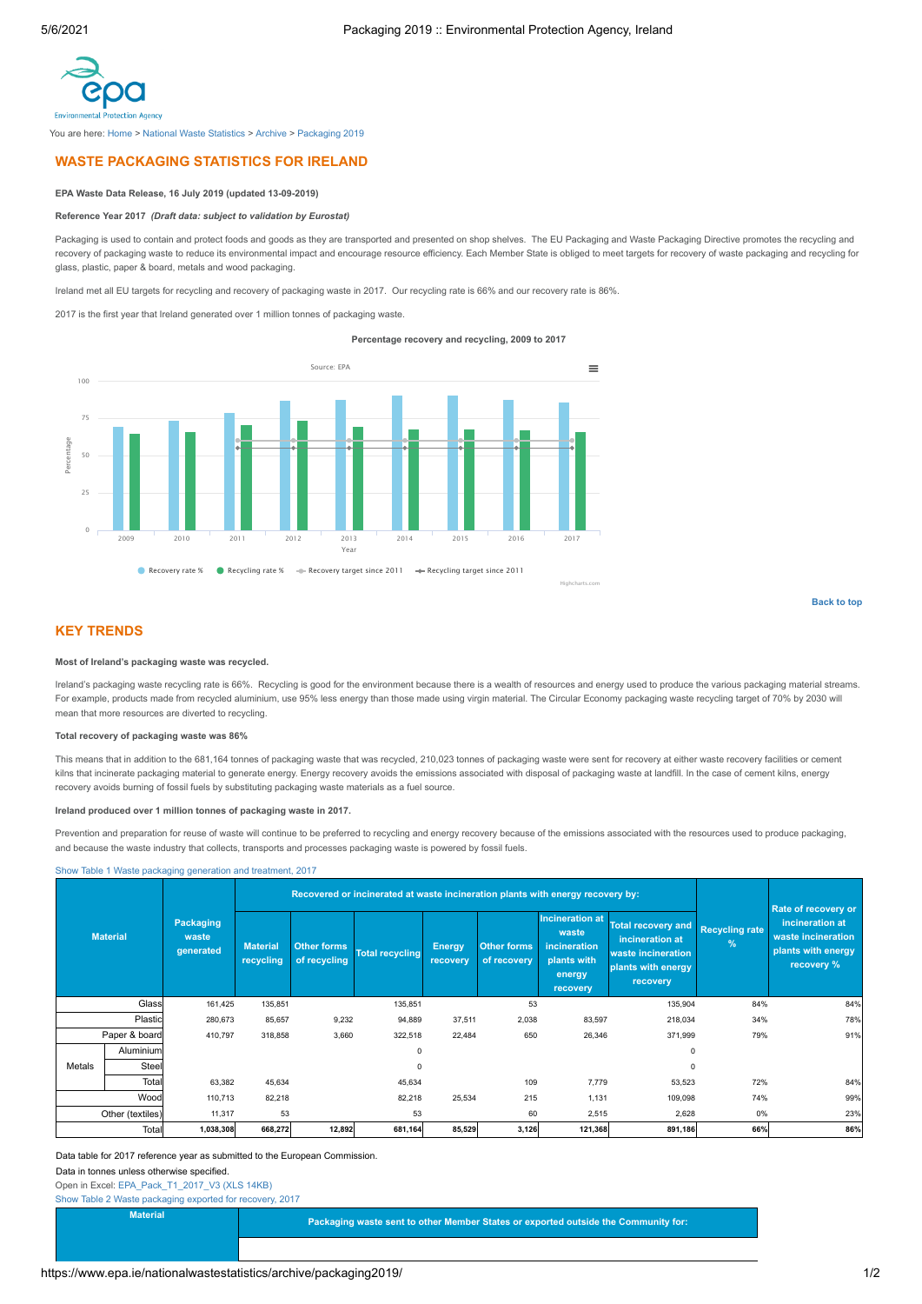<span id="page-0-0"></span>

You are here: [Home](https://www.epa.ie/) > [National Waste Statistics](https://www.epa.ie/nationalwastestatistics/) > [Archive](https://www.epa.ie/nationalwastestatistics/archive/) > [Packaging 2019](https://www.epa.ie/nationalwastestatistics/archive/packaging2019/)

## **WASTE PACKAGING STATISTICS FOR IRELAND**

### **EPA Waste Data Release, 16 July 2019 (updated 13-09-2019)**

#### **Reference Year 2017** *(Draft data: subject to validation by Eurostat)*

Packaging is used to contain and protect foods and goods as they are transported and presented on shop shelves. The EU Packaging and Waste Packaging Directive promotes the recycling and recovery of packaging waste to reduce its environmental impact and encourage resource efficiency. Each Member State is obliged to meet targets for recovery of waste packaging and recycling for glass, plastic, paper & board, metals and wood packaging.

Ireland met all EU targets for recycling and recovery of packaging waste in 2017. Our recycling rate is 66% and our recovery rate is 86%.

2017 is the first year that Ireland generated over 1 million tonnes of packaging waste.

**Percentage recovery and recycling, 2009 to 2017**



**[Back to top](#page-0-0)**

### **KEY TRENDS**

#### **Most of Ireland's packaging waste was recycled.**

Ireland's packaging waste recycling rate is 66%. Recycling is good for the environment because there is a wealth of resources and energy used to produce the various packaging material streams. For example, products made from recycled aluminium, use 95% less energy than those made using virgin material. The Circular Economy packaging waste recycling target of 70% by 2030 will mean that more resources are diverted to recycling.

#### **Total recovery of packaging waste was 86%**

This means that in addition to the 681,164 tonnes of packaging waste that was recycled, 210,023 tonnes of packaging waste were sent for recovery at either waste recovery facilities or cement kilns that incinerate packaging material to generate energy. Energy recovery avoids the emissions associated with disposal of packaging waste at landfill. In the case of cement kilns, energy recovery avoids burning of fossil fuels by substituting packaging waste materials as a fuel source.

#### **Ireland produced over 1 million tonnes of packaging waste in 2017.**

Prevention and preparation for reuse of waste will continue to be preferred to recycling and energy recovery because of the emissions associated with the resources used to produce packaging, and because the waste industry that collects, transports and processes packaging waste is powered by fossil fuels.

[Show Table 1 Waste packaging generation and treatment, 2017](#page-0-1)

<span id="page-0-1"></span>

| <b>Material</b>  |           | - - -<br>Packaging<br>waste<br>generated | Recovered or incinerated at waste incineration plants with energy recovery by: |                                    |                        |                           |                                   |                                                                                      |                                                                                                      |                                        | <b>Rate of recovery or</b>                                                |
|------------------|-----------|------------------------------------------|--------------------------------------------------------------------------------|------------------------------------|------------------------|---------------------------|-----------------------------------|--------------------------------------------------------------------------------------|------------------------------------------------------------------------------------------------------|----------------------------------------|---------------------------------------------------------------------------|
|                  |           |                                          | <b>Material</b><br>recycling                                                   | <b>Other forms</b><br>of recycling | <b>Total recycling</b> | <b>Energy</b><br>recovery | <b>Other forms</b><br>of recovery | <b>Incineration at</b><br>waste<br>incineration<br>plants with<br>energy<br>recovery | <b>Total recovery and</b><br>incineration at<br>waste incineration<br>plants with energy<br>recovery | <b>Recycling rate</b><br>$\frac{1}{2}$ | incineration at<br>waste incineration<br>plants with energy<br>recovery % |
| Glass            |           | 161,425                                  | 135,851                                                                        |                                    | 135,851                |                           | 53                                |                                                                                      | 135,904                                                                                              | 84%                                    | 84%                                                                       |
| Plastic          |           | 280,673                                  | 85,657                                                                         | 9,232                              | 94,889                 | 37,511                    | 2,038                             | 83,597                                                                               | 218,034                                                                                              | 34%                                    | 78%                                                                       |
| Paper & board    |           | 410,797                                  | 318,858                                                                        | 3,660                              | 322,518                | 22,484                    | 650                               | 26,346                                                                               | 371,999                                                                                              | 79%                                    | 91%                                                                       |
|                  | Aluminium |                                          |                                                                                |                                    | 0                      |                           |                                   |                                                                                      | $^{\circ}$                                                                                           |                                        |                                                                           |
| Metals           | Steel     |                                          |                                                                                |                                    | $\Omega$               |                           |                                   |                                                                                      | $\Omega$                                                                                             |                                        |                                                                           |
|                  | Total     | 63,382                                   | 45,634                                                                         |                                    | 45,634                 |                           | 109                               | 7,779                                                                                | 53,523                                                                                               | 72%                                    | 84%                                                                       |
| Wood             |           | 110,713                                  | 82,218                                                                         |                                    | 82,218                 | 25,534                    | 215                               | 1,131                                                                                | 109,098                                                                                              | 74%                                    | 99%                                                                       |
| Other (textiles) |           | 11,317                                   | 53                                                                             |                                    | 53                     |                           | 60                                | 2,515                                                                                | 2,628                                                                                                | 0%                                     | 23%                                                                       |
| Total            |           | 1,038,308                                | 668,272                                                                        | 12,892                             | 681,164                | 85,529                    | 3,126                             | 121,368                                                                              | 891,186                                                                                              | 66%                                    | 86%                                                                       |

Data table for 2017 reference year as submitted to the European Commission.

#### Data in tonnes unless otherwise specified.

Open in Excel: [EPA\\_Pack\\_T1\\_2017\\_V3 \(XLS 14KB\)](https://www.epa.ie/media/EPA_Packaging_2019Jul_Ref2017_table1.xlsx)

<span id="page-0-2"></span>[Show Table 2 Waste packaging exported for recovery, 2017](#page-0-2)

**Material Packaging waste sent to other Member States or exported outside the Community for:**<br> **Packaging waste sent to other Member States or exported outside the Community for:**